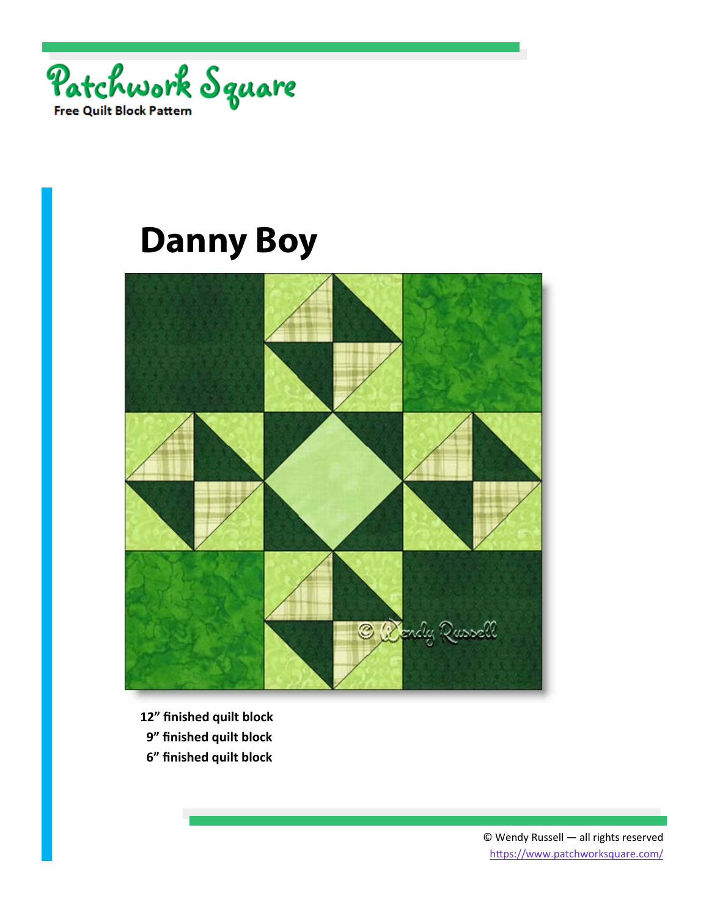



- **12" finished quilt block**
- **9" finished quilt block**
- **6" finished quilt block**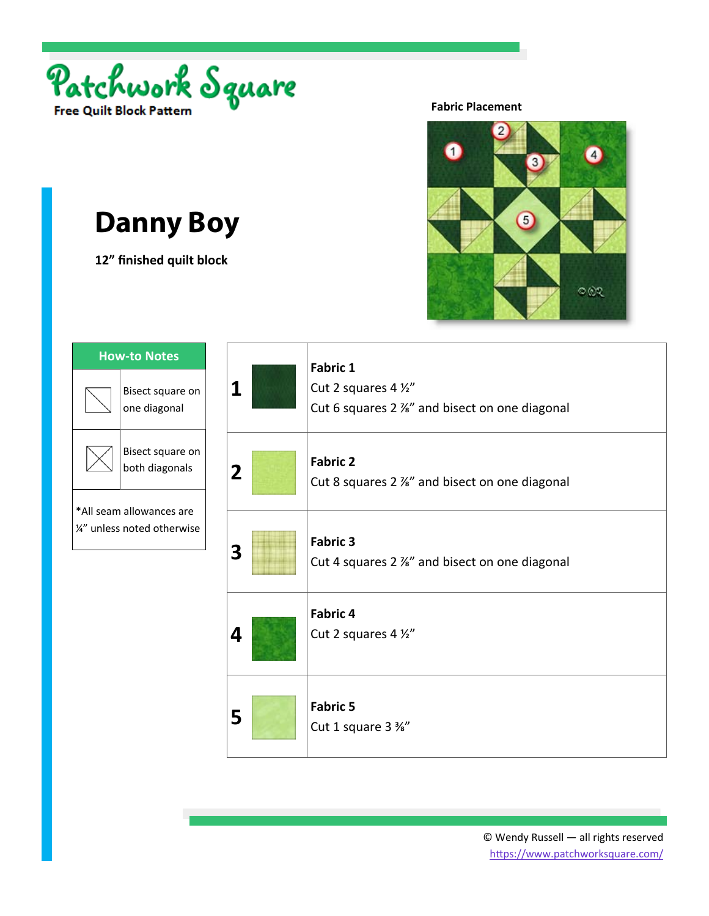

**12" finished quilt block** 

#### **Fabric Placement**



| 1 | <b>Fabric 1</b><br>Cut 2 squares 4 1/2"<br>Cut 6 squares 2 %" and bisect on one diagonal |
|---|------------------------------------------------------------------------------------------|
| 2 | <b>Fabric 2</b><br>Cut 8 squares 2 %" and bisect on one diagonal                         |
| 3 | <b>Fabric 3</b><br>Cut 4 squares 2 %" and bisect on one diagonal                         |
| 4 | Fabric 4<br>Cut 2 squares 4 1/2"                                                         |
| 5 | <b>Fabric 5</b><br>Cut 1 square 3 %"                                                     |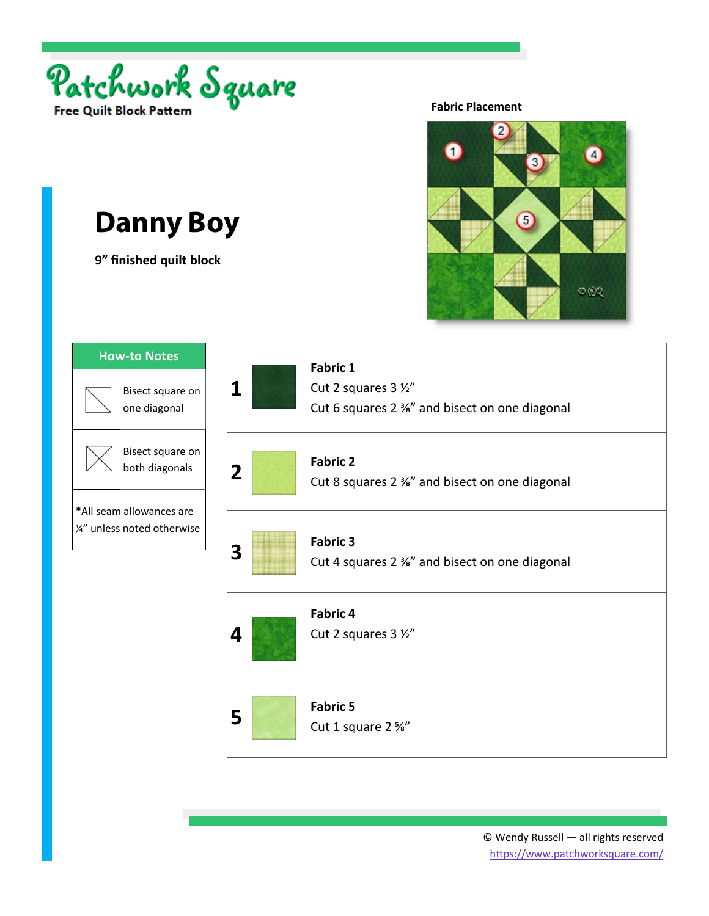

**9" finished quilt block** 

#### **Fabric Placement**



| Bisect square on<br>one diagonal<br>Bisect square on<br>both diagonals<br>*All seam allowances are<br>1/2" unless noted otherwise |  |  |
|-----------------------------------------------------------------------------------------------------------------------------------|--|--|
|                                                                                                                                   |  |  |
|                                                                                                                                   |  |  |
|                                                                                                                                   |  |  |

| 1              | <b>Fabric 1</b><br>Cut 2 squares 3 1/2"<br>Cut 6 squares 2 %" and bisect on one diagonal |
|----------------|------------------------------------------------------------------------------------------|
| $\overline{2}$ | <b>Fabric 2</b><br>Cut 8 squares 2 %" and bisect on one diagonal                         |
| 3              | <b>Fabric 3</b><br>Cut 4 squares 2 %" and bisect on one diagonal                         |
| 4              | <b>Fabric 4</b><br>Cut 2 squares 3 1/2"                                                  |
| 5              | <b>Fabric 5</b><br>Cut 1 square 2 %"                                                     |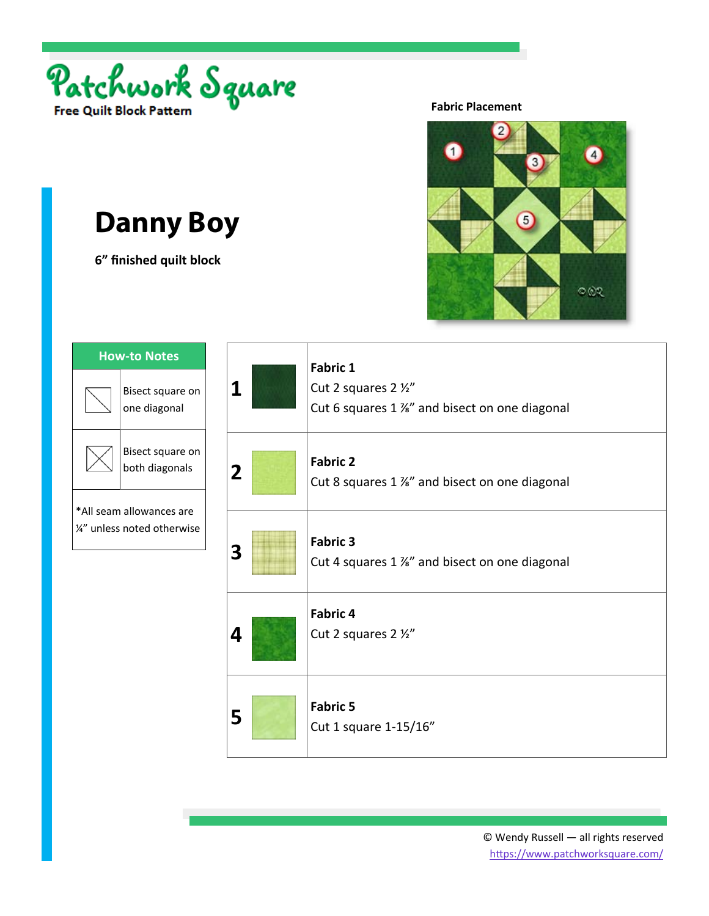

**6" finished quilt block** 

#### **Fabric Placement**



| 1 | <b>Fabric 1</b><br>Cut 2 squares 2 1/2"<br>Cut 6 squares 1 %" and bisect on one diagonal |
|---|------------------------------------------------------------------------------------------|
| 2 | <b>Fabric 2</b><br>Cut 8 squares 1 %" and bisect on one diagonal                         |
| 3 | <b>Fabric 3</b><br>Cut 4 squares 1 %" and bisect on one diagonal                         |
| 4 | <b>Fabric 4</b><br>Cut 2 squares 2 1/2"                                                  |
| 5 | <b>Fabric 5</b><br>Cut 1 square 1-15/16"                                                 |